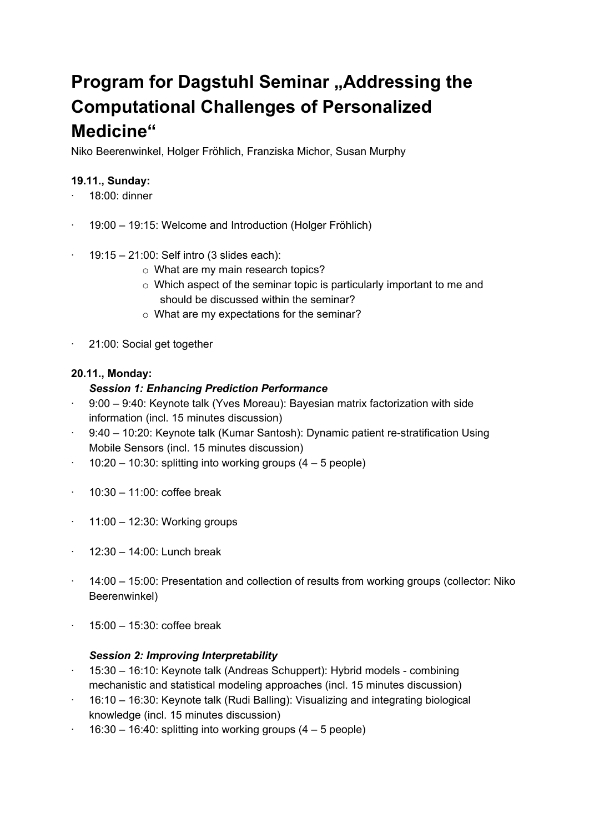# **Program for Dagstuhl Seminar "Addressing the Computational Challenges of Personalized Medicine"**

Niko Beerenwinkel, Holger Fröhlich, Franziska Michor, Susan Murphy

## **19.11., Sunday:**

- · 18:00: dinner
- · 19:00 19:15: Welcome and Introduction (Holger Fröhlich)
- $\cdot$  19:15 21:00: Self intro (3 slides each):
	- o What are my main research topics?
	- o Which aspect of the seminar topic is particularly important to me and should be discussed within the seminar?
	- o What are my expectations for the seminar?
- · 21:00: Social get together

## **20.11., Monday:**

## *Session 1: Enhancing Prediction Performance*

- · 9:00 9:40: Keynote talk (Yves Moreau): Bayesian matrix factorization with side information (incl. 15 minutes discussion)
- · 9:40 10:20: Keynote talk (Kumar Santosh): Dynamic patient re-stratification Using Mobile Sensors (incl. 15 minutes discussion)
- $\cdot$  10:20 10:30: splitting into working groups (4 5 people)
- $\cdot$  10:30 11:00: coffee break
- $\cdot$  11:00 12:30: Working groups
- $\cdot$  12:30 14:00: Lunch break
- · 14:00 15:00: Presentation and collection of results from working groups (collector: Niko Beerenwinkel)
- · 15:00 15:30: coffee break

## *Session 2: Improving Interpretability*

- · 15:30 16:10: Keynote talk (Andreas Schuppert): Hybrid models combining mechanistic and statistical modeling approaches (incl. 15 minutes discussion)
- · 16:10 16:30: Keynote talk (Rudi Balling): Visualizing and integrating biological knowledge (incl. 15 minutes discussion)
- $\cdot$  16:30 16:40: splitting into working groups (4 5 people)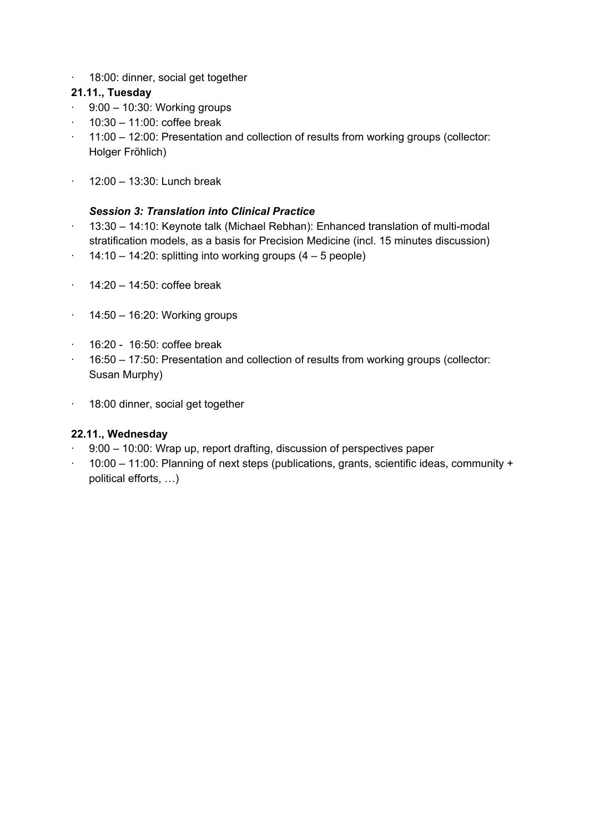· 18:00: dinner, social get together

## **21.11., Tuesday**

- $\cdot$  9:00 10:30: Working groups
- $\cdot$  10:30 11:00: coffee break
- · 11:00 12:00: Presentation and collection of results from working groups (collector: Holger Fröhlich)
- · 12:00 13:30: Lunch break

## *Session 3: Translation into Clinical Practice*

- · 13:30 14:10: Keynote talk (Michael Rebhan): Enhanced translation of multi-modal stratification models, as a basis for Precision Medicine (incl. 15 minutes discussion)
- $\cdot$  14:10 14:20: splitting into working groups (4 5 people)
- $\cdot$  14:20 14:50: coffee break
- $\cdot$  14:50 16:20: Working groups
- $\cdot$  16:20 16:50: coffee break
- · 16:50 17:50: Presentation and collection of results from working groups (collector: Susan Murphy)
- · 18:00 dinner, social get together

## **22.11., Wednesday**

- · 9:00 10:00: Wrap up, report drafting, discussion of perspectives paper
- · 10:00 11:00: Planning of next steps (publications, grants, scientific ideas, community + political efforts, …)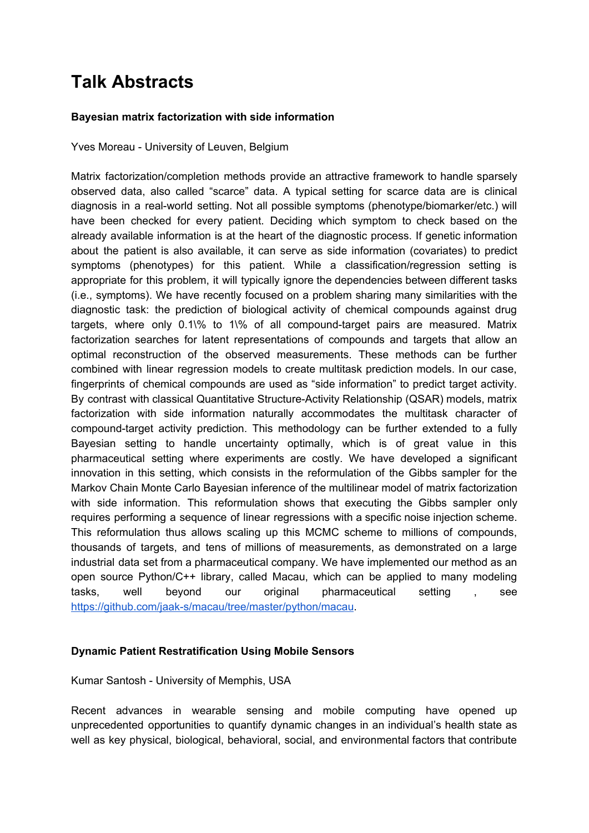## **Talk Abstracts**

#### **Bayesian matrix factorization with side information**

Yves Moreau - University of Leuven, Belgium

Matrix factorization/completion methods provide an attractive framework to handle sparsely observed data, also called "scarce" data. A typical setting for scarce data are is clinical diagnosis in a real-world setting. Not all possible symptoms (phenotype/biomarker/etc.) will have been checked for every patient. Deciding which symptom to check based on the already available information is at the heart of the diagnostic process. If genetic information about the patient is also available, it can serve as side information (covariates) to predict symptoms (phenotypes) for this patient. While a classification/regression setting is appropriate for this problem, it will typically ignore the dependencies between different tasks (i.e., symptoms). We have recently focused on a problem sharing many similarities with the diagnostic task: the prediction of biological activity of chemical compounds against drug targets, where only 0.1\% to 1\% of all compound-target pairs are measured. Matrix factorization searches for latent representations of compounds and targets that allow an optimal reconstruction of the observed measurements. These methods can be further combined with linear regression models to create multitask prediction models. In our case, fingerprints of chemical compounds are used as "side information" to predict target activity. By contrast with classical Quantitative Structure-Activity Relationship (QSAR) models, matrix factorization with side information naturally accommodates the multitask character of compound-target activity prediction. This methodology can be further extended to a fully Bayesian setting to handle uncertainty optimally, which is of great value in this pharmaceutical setting where experiments are costly. We have developed a significant innovation in this setting, which consists in the reformulation of the Gibbs sampler for the Markov Chain Monte Carlo Bayesian inference of the multilinear model of matrix factorization with side information. This reformulation shows that executing the Gibbs sampler only requires performing a sequence of linear regressions with a specific noise injection scheme. This reformulation thus allows scaling up this MCMC scheme to millions of compounds, thousands of targets, and tens of millions of measurements, as demonstrated on a large industrial data set from a pharmaceutical company. We have implemented our method as an open source Python/C++ library, called Macau, which can be applied to many modeling tasks, well beyond our original pharmaceutical setting , see <https://github.com/jaak-s/macau/tree/master/python/macau>.

## **Dynamic Patient Restratification Using Mobile Sensors**

#### Kumar Santosh - University of Memphis, USA

Recent advances in wearable sensing and mobile computing have opened up unprecedented opportunities to quantify dynamic changes in an individual's health state as well as key physical, biological, behavioral, social, and environmental factors that contribute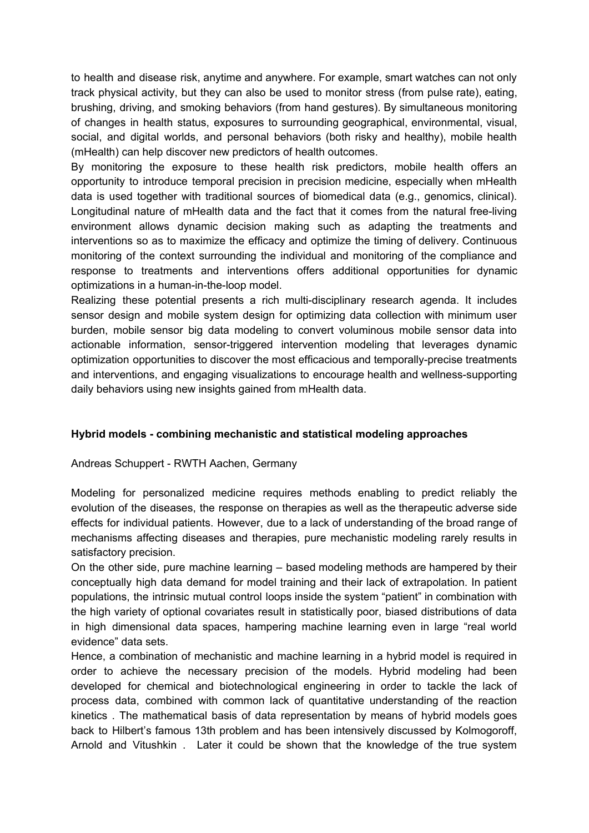to health and disease risk, anytime and anywhere. For example, smart watches can not only track physical activity, but they can also be used to monitor stress (from pulse rate), eating, brushing, driving, and smoking behaviors (from hand gestures). By simultaneous monitoring of changes in health status, exposures to surrounding geographical, environmental, visual, social, and digital worlds, and personal behaviors (both risky and healthy), mobile health (mHealth) can help discover new predictors of health outcomes.

By monitoring the exposure to these health risk predictors, mobile health offers an opportunity to introduce temporal precision in precision medicine, especially when mHealth data is used together with traditional sources of biomedical data (e.g., genomics, clinical). Longitudinal nature of mHealth data and the fact that it comes from the natural free-living environment allows dynamic decision making such as adapting the treatments and interventions so as to maximize the efficacy and optimize the timing of delivery. Continuous monitoring of the context surrounding the individual and monitoring of the compliance and response to treatments and interventions offers additional opportunities for dynamic optimizations in a human-in-the-loop model.

Realizing these potential presents a rich multi-disciplinary research agenda. It includes sensor design and mobile system design for optimizing data collection with minimum user burden, mobile sensor big data modeling to convert voluminous mobile sensor data into actionable information, sensor-triggered intervention modeling that leverages dynamic optimization opportunities to discover the most efficacious and temporally-precise treatments and interventions, and engaging visualizations to encourage health and wellness-supporting daily behaviors using new insights gained from mHealth data.

## **Hybrid models - combining mechanistic and statistical modeling approaches**

#### Andreas Schuppert - RWTH Aachen, Germany

Modeling for personalized medicine requires methods enabling to predict reliably the evolution of the diseases, the response on therapies as well as the therapeutic adverse side effects for individual patients. However, due to a lack of understanding of the broad range of mechanisms affecting diseases and therapies, pure mechanistic modeling rarely results in satisfactory precision.

On the other side, pure machine learning – based modeling methods are hampered by their conceptually high data demand for model training and their lack of extrapolation. In patient populations, the intrinsic mutual control loops inside the system "patient" in combination with the high variety of optional covariates result in statistically poor, biased distributions of data in high dimensional data spaces, hampering machine learning even in large "real world evidence" data sets.

Hence, a combination of mechanistic and machine learning in a hybrid model is required in order to achieve the necessary precision of the models. Hybrid modeling had been developed for chemical and biotechnological engineering in order to tackle the lack of process data, combined with common lack of quantitative understanding of the reaction kinetics . The mathematical basis of data representation by means of hybrid models goes back to Hilbert's famous 13th problem and has been intensively discussed by Kolmogoroff, Arnold and Vitushkin . Later it could be shown that the knowledge of the true system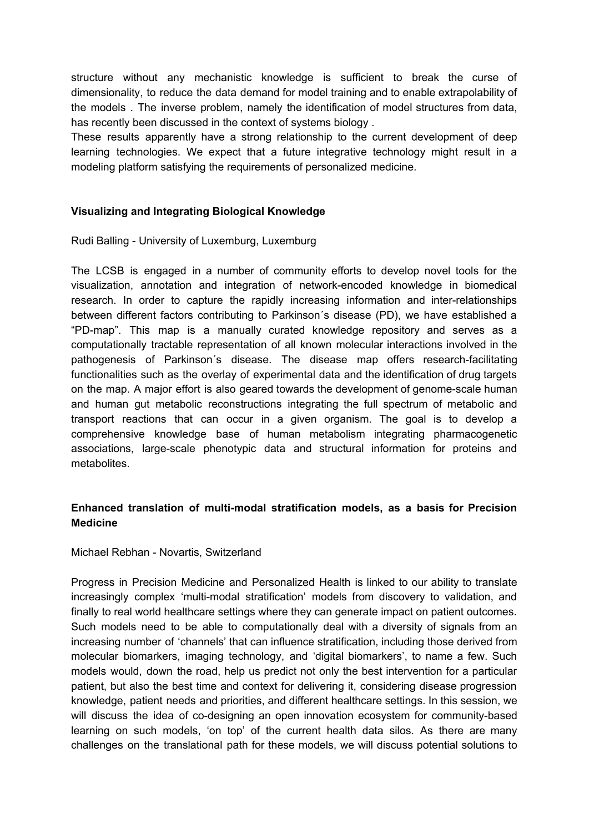structure without any mechanistic knowledge is sufficient to break the curse of dimensionality, to reduce the data demand for model training and to enable extrapolability of the models . The inverse problem, namely the identification of model structures from data, has recently been discussed in the context of systems biology .

These results apparently have a strong relationship to the current development of deep learning technologies. We expect that a future integrative technology might result in a modeling platform satisfying the requirements of personalized medicine.

#### **Visualizing and Integrating Biological Knowledge**

Rudi Balling - University of Luxemburg, Luxemburg

The LCSB is engaged in a number of community efforts to develop novel tools for the visualization, annotation and integration of network-encoded knowledge in biomedical research. In order to capture the rapidly increasing information and inter-relationships between different factors contributing to Parkinson´s disease (PD), we have established a "PD-map". This map is a manually curated knowledge repository and serves as a computationally tractable representation of all known molecular interactions involved in the pathogenesis of Parkinson´s disease. The disease map offers research-facilitating functionalities such as the overlay of experimental data and the identification of drug targets on the map. A major effort is also geared towards the development of genome-scale human and human gut metabolic reconstructions integrating the full spectrum of metabolic and transport reactions that can occur in a given organism. The goal is to develop a comprehensive knowledge base of human metabolism integrating pharmacogenetic associations, large-scale phenotypic data and structural information for proteins and metabolites.

## **Enhanced translation of multi-modal stratification models, as a basis for Precision Medicine**

#### Michael Rebhan - Novartis, Switzerland

Progress in Precision Medicine and Personalized Health is linked to our ability to translate increasingly complex 'multi-modal stratification' models from discovery to validation, and finally to real world healthcare settings where they can generate impact on patient outcomes. Such models need to be able to computationally deal with a diversity of signals from an increasing number of 'channels' that can influence stratification, including those derived from molecular biomarkers, imaging technology, and 'digital biomarkers', to name a few. Such models would, down the road, help us predict not only the best intervention for a particular patient, but also the best time and context for delivering it, considering disease progression knowledge, patient needs and priorities, and different healthcare settings. In this session, we will discuss the idea of co-designing an open innovation ecosystem for community-based learning on such models, 'on top' of the current health data silos. As there are many challenges on the translational path for these models, we will discuss potential solutions to